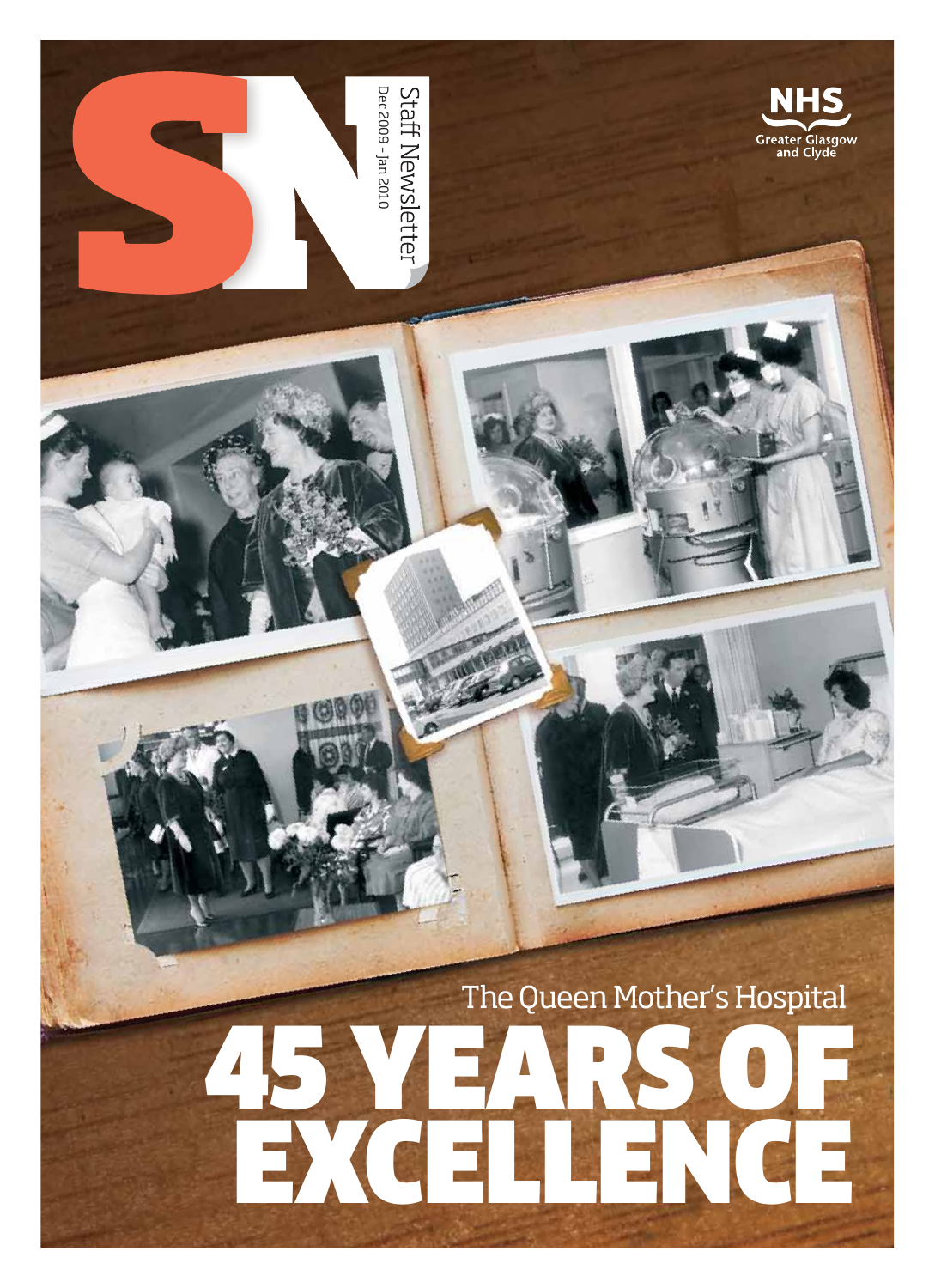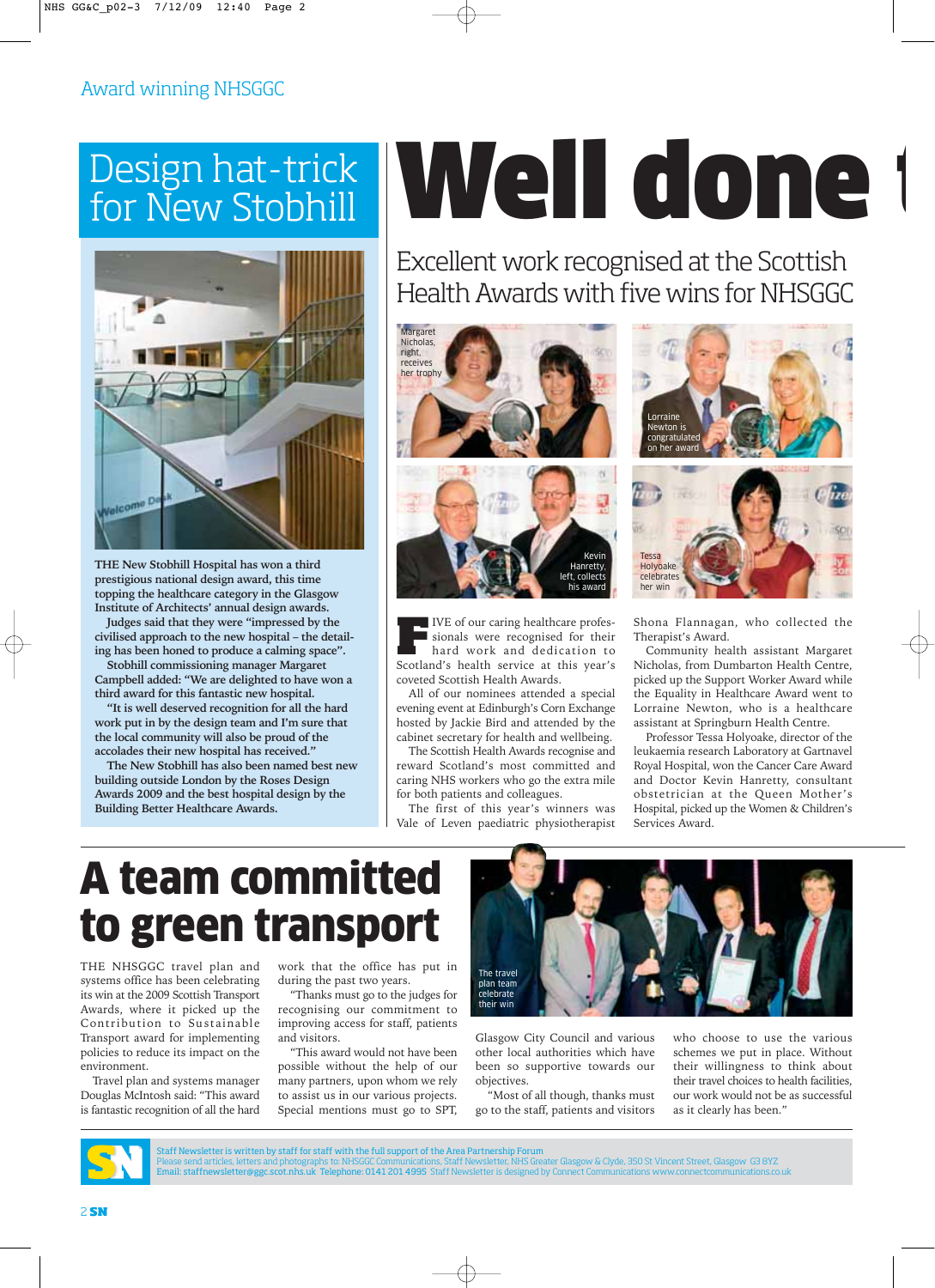### Award winning NHSGGC

### Design hat-trick for New Stobhill



**THE New Stobhill Hospital has won a third prestigious national design award, this time topping the healthcare category in the Glasgow Institute of Architects' annual design awards.**

**Judges said that they were "impressed by the civilised approach to the new hospital – the detailing has been honed to produce a calming space".**

**Stobhill commissioning manager Margaret Campbell added: "We are delighted to have won a third award for this fantastic new hospital.**

**"It is well deserved recognition for all the hard work put in by the design team and I'm sure that the local community will also be proud of the accolades their new hospital has received."**

**The New Stobhill has also been named best new building outside London by the Roses Design Awards 2009 and the best hospital design by the Building Better Healthcare Awards.**

# Well done t

Excellent work recognised at the Scottish Health Awards with five wins for NHSGGC



**F**IVE of our caring healthcare professionals were recognised for their hard work and dedication to Scotland's health service at this year's coveted Scottish Health Awards.

All of our nominees attended a special evening event at Edinburgh's Corn Exchange hosted by Jackie Bird and attended by the cabinet secretary for health and wellbeing.

The Scottish Health Awards recognise and reward Scotland's most committed and caring NHS workers who go the extra mile for both patients and colleagues.

The first of this year's winners was Vale of Leven paediatric physiotherapist





Shona Flannagan, who collected the Therapist's Award.

Community health assistant Margaret Nicholas, from Dumbarton Health Centre, picked up the Support Worker Award while the Equality in Healthcare Award went to Lorraine Newton, who is a healthcare assistant at Springburn Health Centre.

Professor Tessa Holyoake, director of the leukaemia research Laboratory at Gartnavel Royal Hospital, won the Cancer Care Award and Doctor Kevin Hanretty, consultant obstetrician at the Queen Mother's Hospital, picked up the Women & Children's Services Award.

## A team committed to green transport

THE NHSGGC travel plan and systems office has been celebrating its win at the 2009 Scottish Transport Awards, where it picked up the Contribution to Sustainable Transport award for implementing policies to reduce its impact on the environment.

Travel plan and systems manager Douglas McIntosh said: "This award is fantastic recognition of all the hard work that the office has put in during the past two years.

"Thanks must go to the judges for recognising our commitment to improving access for staff, patients and visitors.

"This award would not have been possible without the help of our many partners, upon whom we rely to assist us in our various projects. Special mentions must go to SPT,



Glasgow City Council and various other local authorities which have been so supportive towards our objectives.

"Most of all though, thanks must go to the staff, patients and visitors who choose to use the various schemes we put in place. Without their willingness to think about their travel choices to health facilities, our work would not be as successful as it clearly has been."



Staff Newsletter is written by staff for staff with the full support of the Area Partnership Forum<br>Please send articles, letters and photographs to: NHSGGC Communications, Staff Newsletter, NHS Greater Glasgow GS BM<br>Email: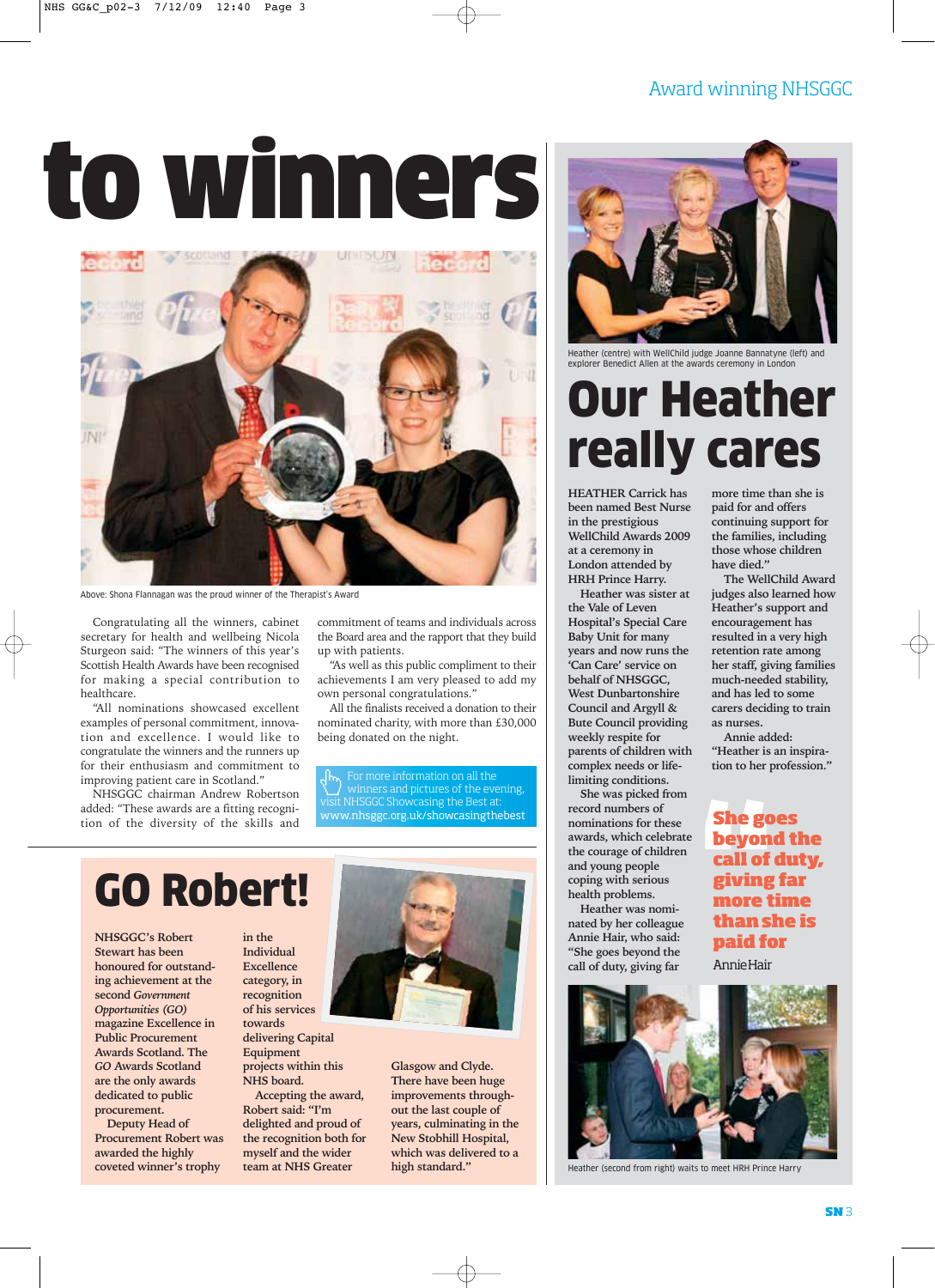# to winners



Above: Shona Flannagan was the proud winner of the Therapist's Award

Congratulating all the winners, cabinet secretary for health and wellbeing Nicola Sturgeon said: "The winners of this year's Scottish Health Awards have been recognised for making a special contribution to healthcare.

"All nominations showcased excellent examples of personal commitment, innovation and excellence. I would like to congratulate the winners and the runners up for their enthusiasm and commitment to improving patient care in Scotland."

NHSGGC chairman Andrew Robertson added: "These awards are a fitting recognition of the diversity of the skills and commitment of teams and individuals across the Board area and the rapport that they build up with patients.

"As well as this public compliment to their achievements I am very pleased to add my own personal congratulations."

All the finalists received a donation to their nominated charity, with more than £30,000 being donated on the night.

For more information on all the winners and pictures of the evening, NHSGGC Showcasing the Best at: www.nhsggc.org.uk/showcasingthebest

## GO Robert!

**NHSGGC's Robert Stewart has been honoured for outstanding achievement at the second** *Government Opportunities (GO)* **magazine Excellence in Public Procurement Awards Scotland. The** *GO* **Awards Scotland are the only awards dedicated to public procurement.** 

**Deputy Head of Procurement Robert was awarded the highly coveted winner's trophy**

**in the Individual Excellence category, in recognition of his services towards delivering Capital Equipment projects within this NHS board.** 

**Accepting the award, Robert said: "I'm delighted and proud of the recognition both for myself and the wider team at NHS Greater**



**Glasgow and Clyde. There have been huge improvements throughout the last couple of years, culminating in the New Stobhill Hospital, which was delivered to a high standard."**

### Award winning NHSGGC



Heather (centre) with WellChild judge Joanne Bannatyne (left) and explorer Benedict Allen at the awards ceremony in London

## Our Heather really cares

**HEATHER Carrick has been named Best Nurse in the prestigious WellChild Awards 2009 at a ceremony in London attended by HRH Prince Harry.** 

**Heather was sister at the Vale of Leven Hospital's Special Care Baby Unit for many years and now runs the 'Can Care' service on behalf of NHSGGC, West Dunbartonshire Council and Argyll & Bute Council providing weekly respite for parents of children with complex needs or lifelimiting conditions.**

**She was picked from record numbers of nominations for these awards, which celebrate the courage of children and young people coping with serious health problems.** 

**Heather was nominated by her colleague Annie Hair, who said: "She goes beyond the call of duty, giving far**



Heather (second from right) waits to meet HRH Prince Harry

**more time than she is paid for and offers continuing support for the families, including those whose children have died."**

**The WellChild Award judges also learned how Heather's support and encouragement has resulted in a very high retention rate among her staff, giving families much-needed stability, and has led to some carers deciding to train as nurses.**

**Annie added: "Heather is an inspiration to her profession."**

### **She goes beyond the call of duty, giving far more time than she is paid for**

Annie Hair

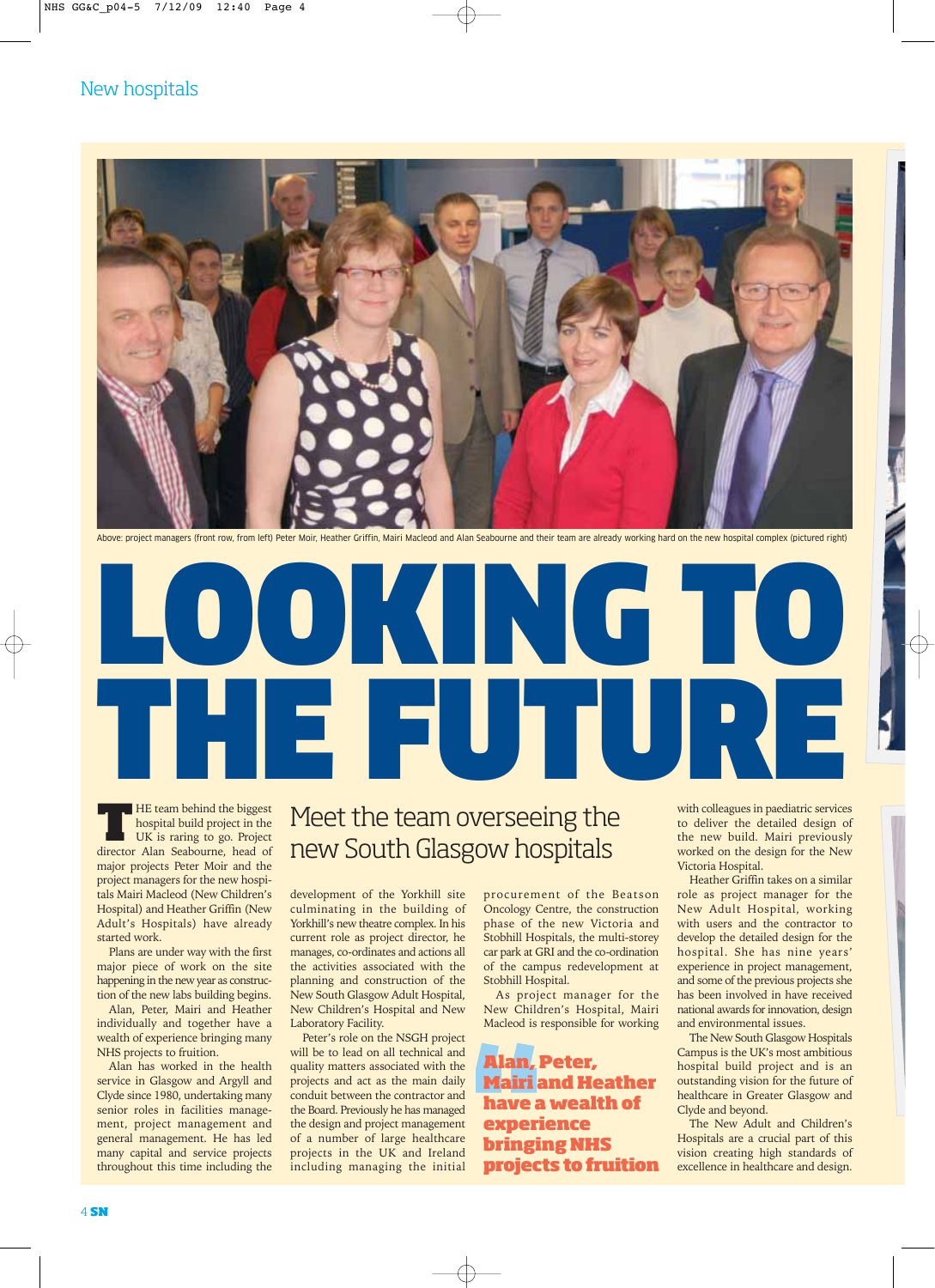### New hospitals



Above: project managers (front row, from left) Peter Moir, Heather Griffin, Mairi Macleod and Alan Seabourne and their team are already working hard on the new hospital complex (pictured right)

# LOOKING TO THE FUTURE

**THE team behind the biggest**<br>hospital build project in the<br>UK is raring to go. Project<br>director Alan Seabourne, head of hospital build project in the UK is raring to go. Project director Alan Seabourne, head of major projects Peter Moir and the project managers for the new hospitals Mairi Macleod (New Children's Hospital) and Heather Griffin (New Adult's Hospitals) have already

started work. Plans are under way with the first major piece of work on the site happening in the new year as construction of the new labs building begins.

Alan, Peter, Mairi and Heather individually and together have a wealth of experience bringing many NHS projects to fruition.

Alan has worked in the health service in Glasgow and Argyll and Clyde since 1980, undertaking many senior roles in facilities management, project management and general management. He has led many capital and service projects throughout this time including the

### Meet the team overseeing the new South Glasgow hospitals

development of the Yorkhill site culminating in the building of Yorkhill's new theatre complex. In his current role as project director, he manages, co-ordinates and actions all the activities associated with the planning and construction of the New South Glasgow Adult Hospital, New Children's Hospital and New Laboratory Facility.

Peter's role on the NSGH project will be to lead on all technical and quality matters associated with the projects and act as the main daily conduit between the contractor and the Board. Previously he has managed the design and project management of a number of large healthcare projects in the UK and Ireland including managing the initial

procurement of the Beatson Oncology Centre, the construction phase of the new Victoria and Stobhill Hospitals, the multi-storey car park at GRI and the co-ordination of the campus redevelopment at Stobhill Hospital.

As project manager for the New Children's Hospital, Mairi Macleod is responsible for working

**Alan, Peter, Mairi and Heather have a wealth of experience bringing NHS projects to fruition** with colleagues in paediatric services to deliver the detailed design of the new build. Mairi previously worked on the design for the New Victoria Hospital.

Heather Griffin takes on a similar role as project manager for the New Adult Hospital, working with users and the contractor to develop the detailed design for the hospital. She has nine years' experience in project management, and some of the previous projects she has been involved in have received national awards for innovation, design and environmental issues.

The New South Glasgow Hospitals Campus is the UK's most ambitious hospital build project and is an outstanding vision for the future of healthcare in Greater Glasgow and Clyde and beyond.

The New Adult and Children's Hospitals are a crucial part of this vision creating high standards of excellence in healthcare and design.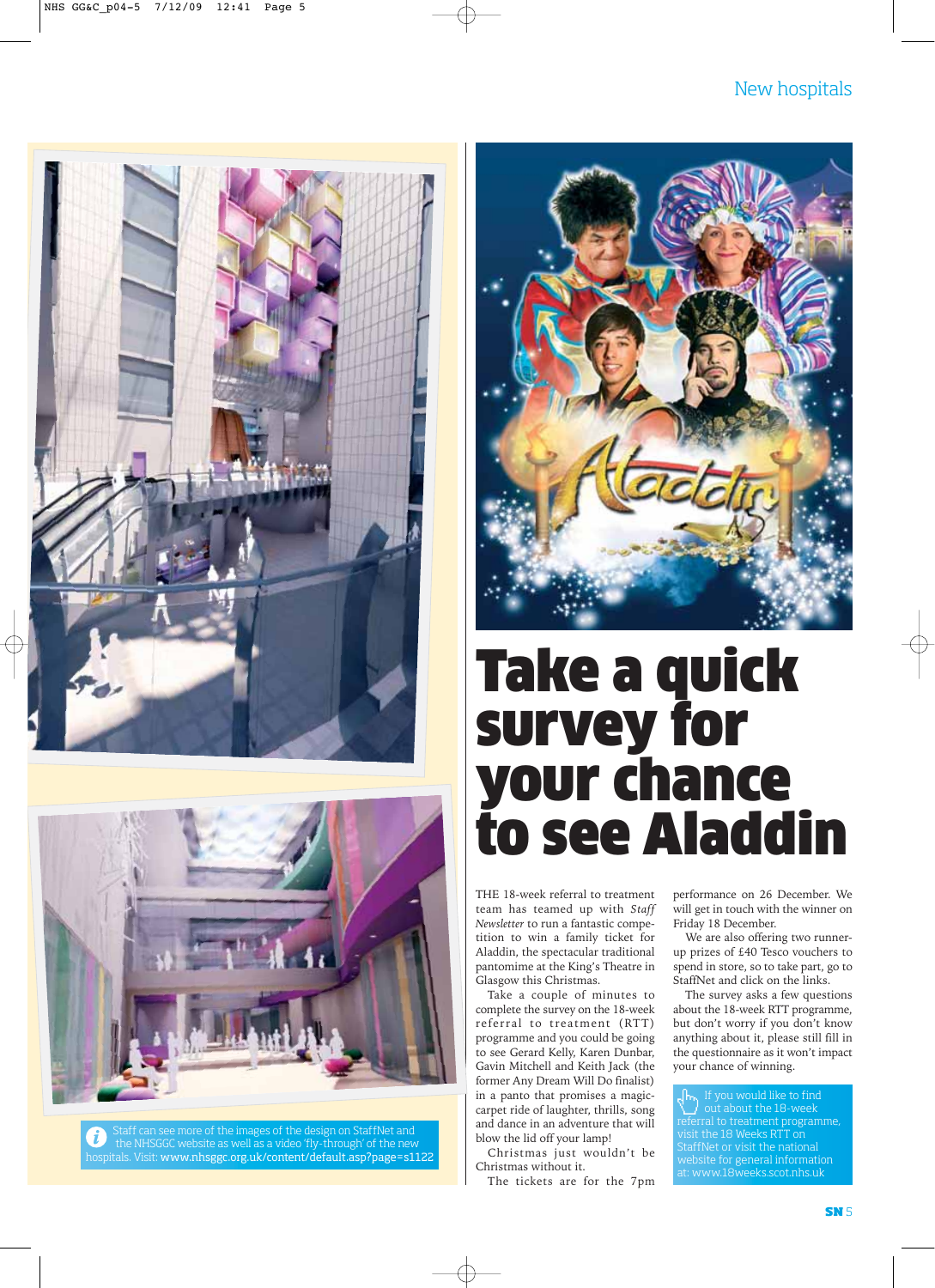#### New hospitals





Staff can see more of the images of the design on StaffNet and the NHSGGC website as well as a video 'fly-through' of the new hospitals. Visit: www.nhsggc.org.uk/content/default.asp?page=s1122



## Take a quick survey for your chance to see Aladdin

THE 18-week referral to treatment team has teamed up with *Staff Newsletter* to run a fantastic competition to win a family ticket for Aladdin, the spectacular traditional pantomime at the King's Theatre in Glasgow this Christmas.

Take a couple of minutes to complete the survey on the 18-week referral to treatment (RTT) programme and you could be going to see Gerard Kelly, Karen Dunbar, Gavin Mitchell and Keith Jack (the former Any Dream Will Do finalist) in a panto that promises a magiccarpet ride of laughter, thrills, song and dance in an adventure that will blow the lid off your lamp!

Christmas just wouldn't be Christmas without it.

The tickets are for the 7pm

performance on 26 December. We will get in touch with the winner on Friday 18 December.

We are also offering two runnerup prizes of £40 Tesco vouchers to spend in store, so to take part, go to StaffNet and click on the links.

The survey asks a few questions about the 18-week RTT programme, but don't worry if you don't know anything about it, please still fill in the questionnaire as it won't impact your chance of winning.

If you would like to find out about the 18-week referral to treatment programme, visit the 18 Weeks RTT on StaffNet or visit the national website for general information at: www.18weeks.scot.nhs.uk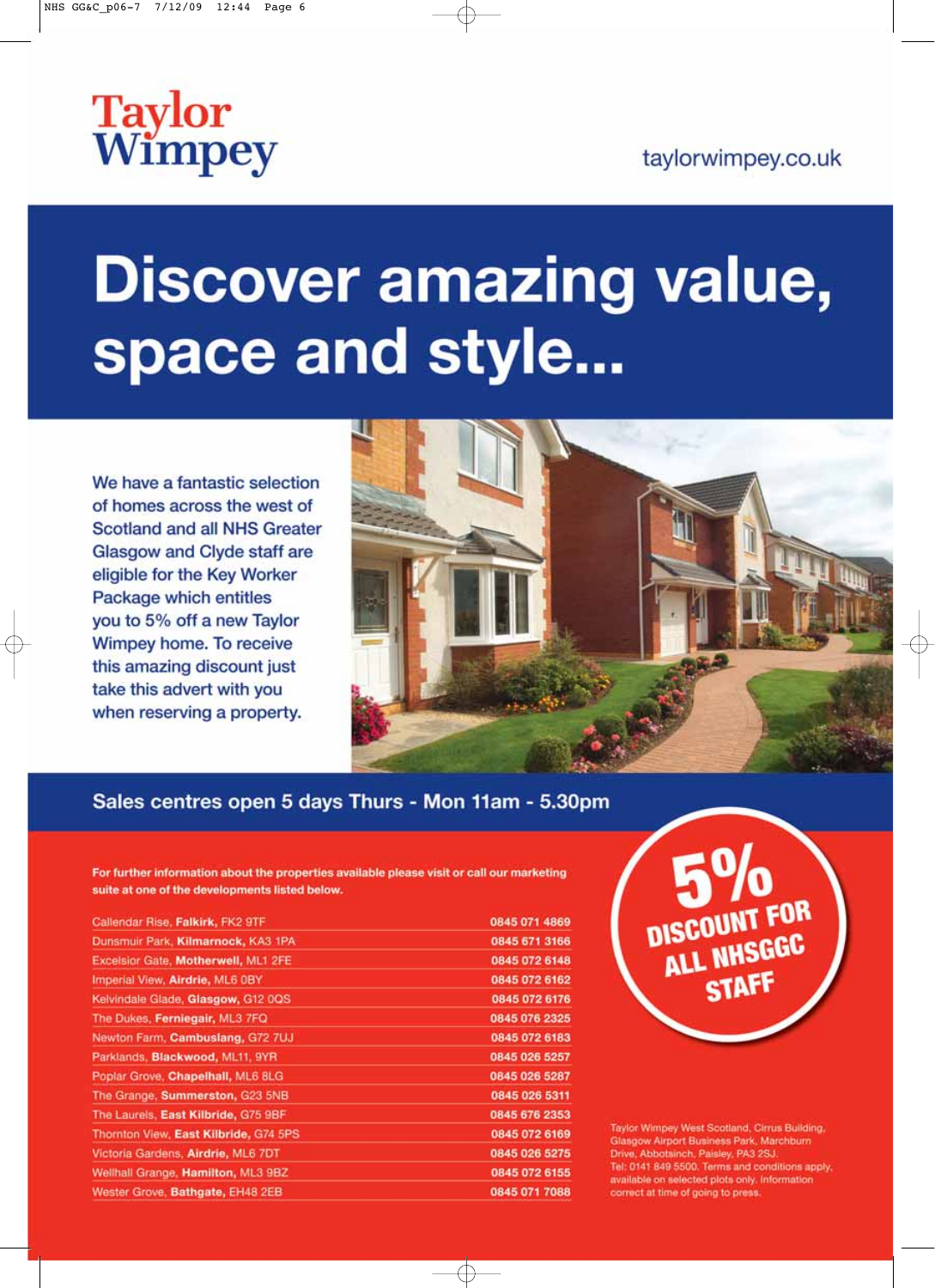# **Taylor**<br>Wimpey

### taylorwimpey.co.uk

# **Discover amazing value,** space and style...

We have a fantastic selection of homes across the west of **Scotland and all NHS Greater** Glasgow and Clyde staff are eligible for the Key Worker Package which entitles you to 5% off a new Taylor Wimpey home. To receive this amazing discount just take this advert with you when reserving a property.



### Sales centres open 5 days Thurs - Mon 11am - 5.30pm

For further information about the properties available please visit or call our marketing suite at one of the developments listed below.

| Callendar Rise, Falkirk, FK2 9TF      | 0845 071 4869 |
|---------------------------------------|---------------|
| Dunsmuir Park, Kilmarnock, KA3 1PA    | 0845 671 3166 |
| Excelsior Gate, Motherwell, ML1 2FE   | 0845 072 6148 |
| Imperial View, Airdrie, ML6 0BY       | 0845 072 6162 |
| Kelvindale Glade, Glasgow, G12 0QS    | 0845 072 6176 |
| The Dukes, Ferniegair, ML3 7FQ        | 0845 076 2325 |
| Newton Farm, Cambuslang, G72 7UJ      | 0845 072 6183 |
| Parklands, Blackwood, ML11, 9YR       | 0845 026 5257 |
| Poplar Grove, Chapelhall, ML6 8LG     | 0845 026 5287 |
| The Grange, Summerston, G23 5NB       | 0845 026 5311 |
| The Laurels, East Kilbride, G75 9BF   | 0845 676 2353 |
| Thornton View, East Kilbride, G74 5PS | 0845 072 6169 |
| Victoria Gardens, Airdrie, ML6 7DT    | 0845 026 5275 |
| Wellhall Grange, Hamilton, ML3 9BZ    | 0845 072 6155 |
| Wester Grove, Bathgate, EH48 2EB      | 0845 071 7088 |



Taylor Wimpey West Scotland, Cirrus Building, Glasgow Airport Business Park, Marchburn Drive, Abbotsinch, Paisley, PA3 2SJ. Tel: 0141 849 5500. Terms and conditions apply, available on selected plots only. Information correct at time of going to press.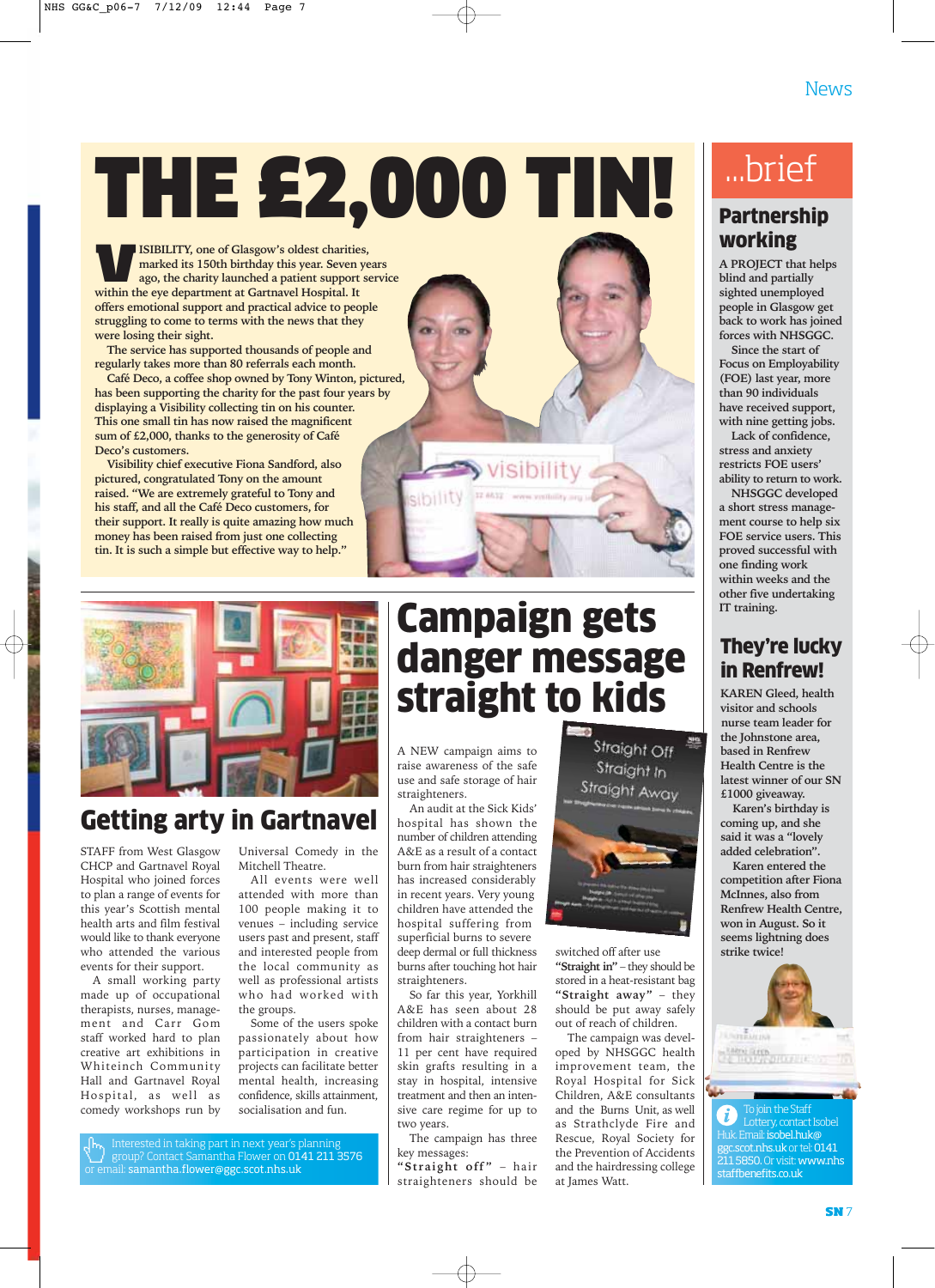THE £2,000 TIN!

**VEISIBILITY, one of Glasgow's oldest charities,<br>marked its 150th birthday this year. Seven yeapo, the charity launched a patient support s<br>within the eve department at Gartnavel Hospital. It marked its 150th birthday this year. Seven years ago, the charity launched a patient support service within the eye department at Gartnavel Hospital. It offers emotional support and practical advice to people struggling to come to terms with the news that they were losing their sight.** 

**The service has supported thousands of people and regularly takes more than 80 referrals each month.** 

**Café Deco, a coffee shop owned by Tony Winton, pictured, has been supporting the charity for the past four years by displaying a Visibility collecting tin on his counter. This one small tin has now raised the magnificent sum of £2,000, thanks to the generosity of Café Deco's customers.** 

**Visibility chief executive Fiona Sandford, also pictured, congratulated Tony on the amount raised. "We are extremely grateful to Tony and his staff, and all the Café Deco customers, for their support. It really is quite amazing how much money has been raised from just one collecting tin. It is such a simple but effective way to help."**



### Getting arty in Gartnavel

STAFF from West Glasgow CHCP and Gartnavel Royal Hospital who joined forces to plan a range of events for this year's Scottish mental health arts and film festival would like to thank everyone who attended the various events for their support.

A small working party made up of occupational therapists, nurses, management and Carr Gom staff worked hard to plan creative art exhibitions in Whiteinch Community Hall and Gartnavel Royal Hospital, as well as comedy workshops run by

Universal Comedy in the Mitchell Theatre.

All events were well attended with more than 100 people making it to venues – including service users past and present, staff and interested people from the local community as well as professional artists who had worked with the groups.

Some of the users spoke passionately about how participation in creative projects can facilitate better mental health, increasing confidence, skills attainment, socialisation and fun.

Interested in taking part in next year's planning group? Contact Samantha Flower on 0141 211 3576 or email: samantha.flower@ggc.scot.nhs.uk

### Campaign gets danger message straight to kids

visibility

A NEW campaign aims to raise awareness of the safe use and safe storage of hair straighteners.

An audit at the Sick Kids' hospital has shown the number of children attending A&E as a result of a contact burn from hair straighteners has increased considerably in recent years. Very young children have attended the hospital suffering from superficial burns to severe deep dermal or full thickness burns after touching hot hair straighteners.

So far this year, Yorkhill A&E has seen about 28 children with a contact burn from hair straighteners – 11 per cent have required skin grafts resulting in a stay in hospital, intensive treatment and then an intensive care regime for up to two years.

The campaign has three key messages:

**"Straight off"** – hair straighteners should be



switched off after use **"Straight in"** – they should be stored in a heat-resistant bag **"Straight away"** – they should be put away safely out of reach of children.

The campaign was developed by NHSGGC health improvement team, the Royal Hospital for Sick Children, A&E consultants and the Burns Unit, as well as Strathclyde Fire and Rescue, Royal Society for the Prevention of Accidents and the hairdressing college at James Watt.

### ...brief

### **Partnership** working

**A PROJECT that helps blind and partially sighted unemployed people in Glasgow get back to work has joined forces with NHSGGC.** 

**Since the start of Focus on Employability (FOE) last year, more than 90 individuals have received support, with nine getting jobs.** 

**Lack of confidence, stress and anxiety restricts FOE users' ability to return to work.** 

**NHSGGC developed a short stress management course to help six FOE service users. This proved successful with one finding work within weeks and the other five undertaking IT training.** 

### They're lucky in Renfrew!

**KAREN Gleed, health visitor and schools nurse team leader for the Johnstone area, based in Renfrew Health Centre is the latest winner of our SN £1000 giveaway.**

**Karen's birthday is coming up, and she said it was a "lovely added celebration".** 

**Karen entered the competition after Fiona McInnes, also from Renfrew Health Centre, won in August. So it seems lightning does strike twice!**